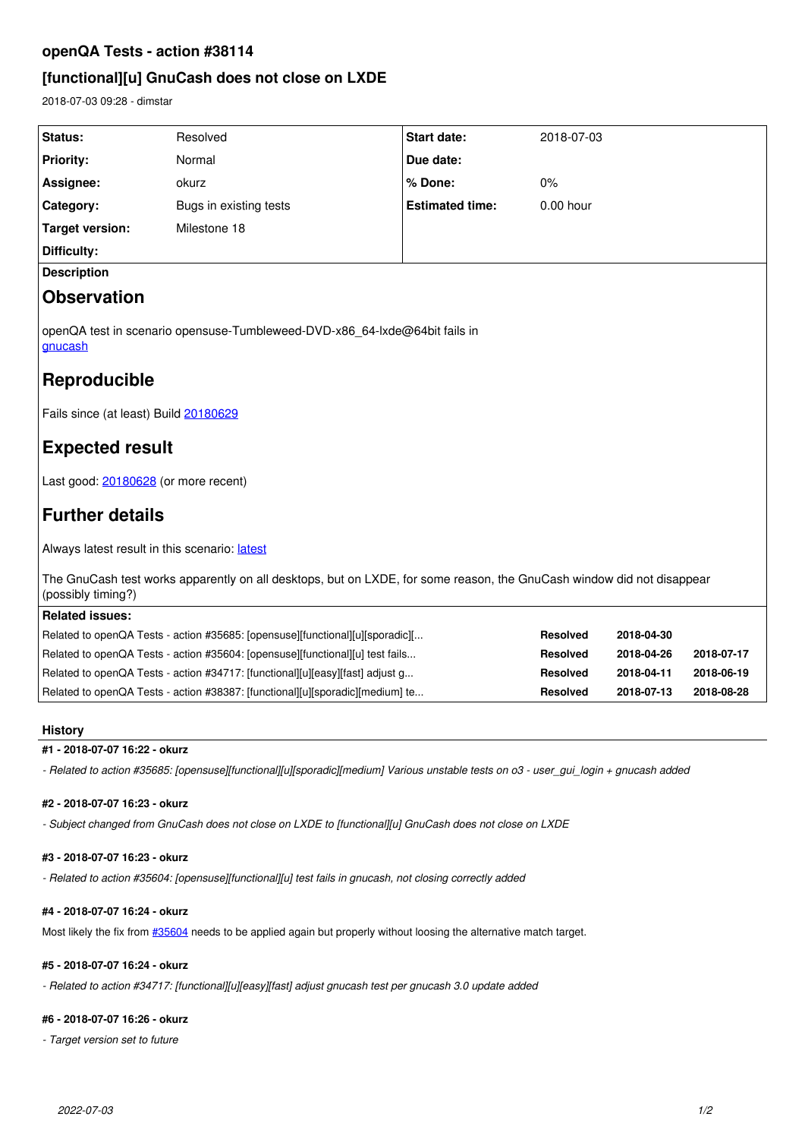# **openQA Tests - action #38114**

# **[functional][u] GnuCash does not close on LXDE**

2018-07-03 09:28 - dimstar

| Status:                                                                                                                                     | Resolved               | <b>Start date:</b>     | 2018-07-03      |            |            |
|---------------------------------------------------------------------------------------------------------------------------------------------|------------------------|------------------------|-----------------|------------|------------|
| <b>Priority:</b>                                                                                                                            | Normal                 | Due date:              |                 |            |            |
| Assignee:                                                                                                                                   | okurz                  | % Done:                | 0%              |            |            |
| Category:                                                                                                                                   | Bugs in existing tests | <b>Estimated time:</b> | 0.00 hour       |            |            |
| <b>Target version:</b>                                                                                                                      | Milestone 18           |                        |                 |            |            |
| Difficulty:                                                                                                                                 |                        |                        |                 |            |            |
| <b>Description</b>                                                                                                                          |                        |                        |                 |            |            |
| <b>Observation</b>                                                                                                                          |                        |                        |                 |            |            |
| openQA test in scenario opensuse-Tumbleweed-DVD-x86_64-lxde@64bit fails in<br>gnucash                                                       |                        |                        |                 |            |            |
| Reproducible                                                                                                                                |                        |                        |                 |            |            |
| Fails since (at least) Build 20180629                                                                                                       |                        |                        |                 |            |            |
| <b>Expected result</b>                                                                                                                      |                        |                        |                 |            |            |
| Last good: 20180628 (or more recent)                                                                                                        |                        |                        |                 |            |            |
| <b>Further details</b>                                                                                                                      |                        |                        |                 |            |            |
| Always latest result in this scenario: latest                                                                                               |                        |                        |                 |            |            |
| The GnuCash test works apparently on all desktops, but on LXDE, for some reason, the GnuCash window did not disappear<br>(possibly timing?) |                        |                        |                 |            |            |
| <b>Related issues:</b>                                                                                                                      |                        |                        |                 |            |            |
| Related to openQA Tests - action #35685: [opensuse][functional][u][sporadic][                                                               |                        |                        | Resolved        | 2018-04-30 |            |
| Related to openQA Tests - action #35604: [opensuse][functional][u] test fails                                                               |                        |                        | <b>Resolved</b> | 2018-04-26 | 2018-07-17 |
| Related to openQA Tests - action #34717: [functional][u][easy][fast] adjust g                                                               |                        |                        | <b>Resolved</b> | 2018-04-11 | 2018-06-19 |
| Related to openQA Tests - action #38387: [functional][u][sporadic][medium] te                                                               |                        |                        | <b>Resolved</b> | 2018-07-13 | 2018-08-28 |
|                                                                                                                                             |                        |                        |                 |            |            |

# **History**

# **#1 - 2018-07-07 16:22 - okurz**

*- Related to action #35685: [opensuse][functional][u][sporadic][medium] Various unstable tests on o3 - user\_gui\_login + gnucash added*

# **#2 - 2018-07-07 16:23 - okurz**

*- Subject changed from GnuCash does not close on LXDE to [functional][u] GnuCash does not close on LXDE*

## **#3 - 2018-07-07 16:23 - okurz**

*- Related to action #35604: [opensuse][functional][u] test fails in gnucash, not closing correctly added*

# **#4 - 2018-07-07 16:24 - okurz**

Most likely the fix from  $\frac{\#35604}{\#35604}$  $\frac{\#35604}{\#35604}$  $\frac{\#35604}{\#35604}$  needs to be applied again but properly without loosing the alternative match target.

# **#5 - 2018-07-07 16:24 - okurz**

*- Related to action #34717: [functional][u][easy][fast] adjust gnucash test per gnucash 3.0 update added*

### **#6 - 2018-07-07 16:26 - okurz**

*- Target version set to future*